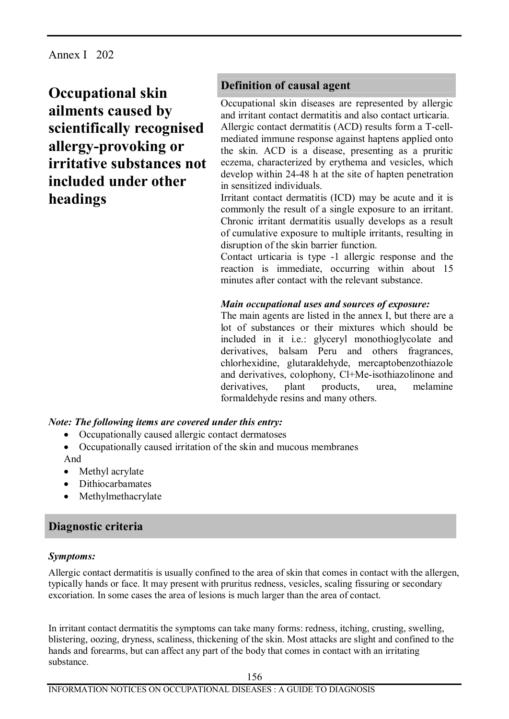Annex I 202

**Occupational skin ailments caused by scientifically recognised allergy-provoking or irritative substances not included under other headings** 

# **Definition of causal agent**

Occupational skin diseases are represented by allergic and irritant contact dermatitis and also contact urticaria. Allergic contact dermatitis (ACD) results form a T-cellmediated immune response against haptens applied onto the skin. ACD is a disease, presenting as a pruritic eczema, characterized by erythema and vesicles, which develop within 24-48 h at the site of hapten penetration in sensitized individuals.

Irritant contact dermatitis (ICD) may be acute and it is commonly the result of a single exposure to an irritant. Chronic irritant dermatitis usually develops as a result of cumulative exposure to multiple irritants, resulting in disruption of the skin barrier function.

Contact urticaria is type -1 allergic response and the reaction is immediate, occurring within about 15 minutes after contact with the relevant substance.

#### *Main occupational uses and sources of exposure:*

The main agents are listed in the annex I, but there are a lot of substances or their mixtures which should be included in it i.e.: glyceryl monothioglycolate and derivatives, balsam Peru and others fragrances, chlorhexidine, glutaraldehyde, mercaptobenzothiazole and derivatives, colophony, Cl+Me-isothiazolinone and derivatives, plant products, urea, melamine formaldehyde resins and many others.

#### *Note: The following items are covered under this entry:*

- · Occupationally caused allergic contact dermatoses
- · Occupationally caused irritation of the skin and mucous membranes And
- Methyl acrylate
- · Dithiocarbamates
- Methylmethacrylate

### **Diagnostic criteria**

#### *Symptoms:*

Allergic contact dermatitis is usually confined to the area of skin that comes in contact with the allergen, typically hands or face. It may present with pruritus redness, vesicles, scaling fissuring or secondary excoriation. In some cases the area of lesions is much larger than the area of contact.

In irritant contact dermatitis the symptoms can take many forms: redness, itching, crusting, swelling, blistering, oozing, dryness, scaliness, thickening of the skin. Most attacks are slight and confined to the hands and forearms, but can affect any part of the body that comes in contact with an irritating substance.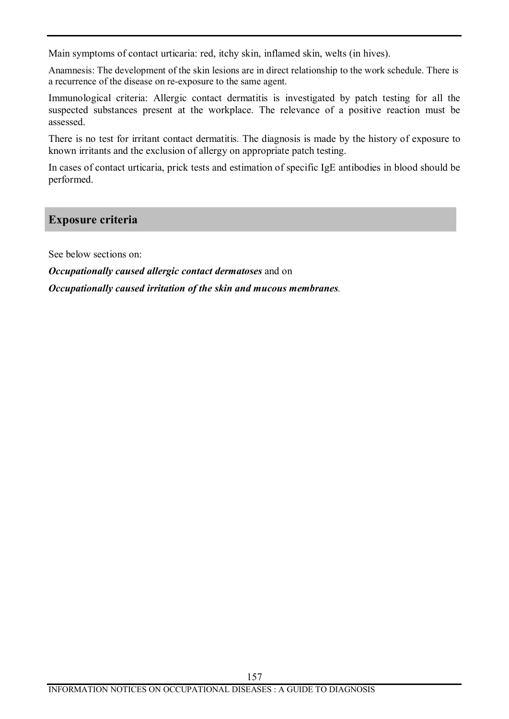Main symptoms of contact urticaria: red, itchy skin, inflamed skin, welts (in hives).

Anamnesis: The development of the skin lesions are in direct relationship to the work schedule. There is a recurrence of the disease on re-exposure to the same agent.

Immunological criteria: Allergic contact dermatitis is investigated by patch testing for all the suspected substances present at the workplace. The relevance of a positive reaction must be assessed.

There is no test for irritant contact dermatitis. The diagnosis is made by the history of exposure to known irritants and the exclusion of allergy on appropriate patch testing.

In cases of contact urticaria, prick tests and estimation of specific IgE antibodies in blood should be performed.

## **Exposure criteria**

See below sections on:

*Occupationally caused allergic contact dermatoses* and on

*Occupationally caused irritation of the skin and mucous membranes.*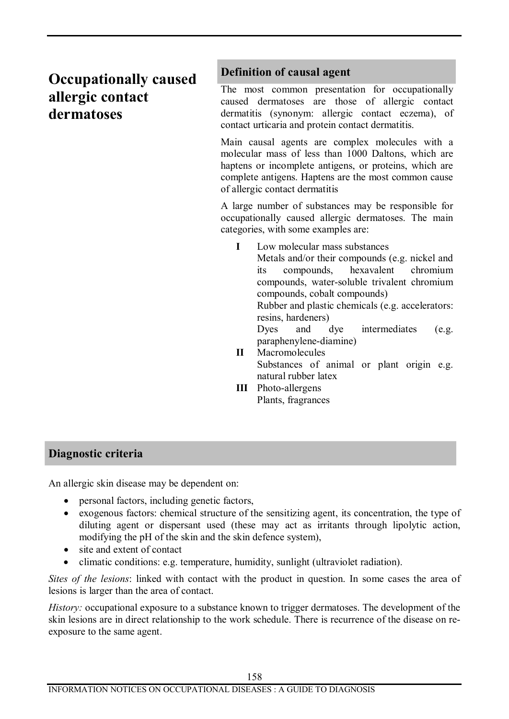# **Occupationally caused allergic contact dermatoses**

## **Definition of causal agent**

The most common presentation for occupationally caused dermatoses are those of allergic contact dermatitis (synonym: allergic contact eczema), of contact urticaria and protein contact dermatitis.

Main causal agents are complex molecules with a molecular mass of less than 1000 Daltons, which are haptens or incomplete antigens, or proteins, which are complete antigens. Haptens are the most common cause of allergic contact dermatitis

A large number of substances may be responsible for occupationally caused allergic dermatoses. The main categories, with some examples are:

**I** Low molecular mass substances

Metals and/or their compounds (e.g. nickel and its compounds, hexavalent chromium compounds, water-soluble trivalent chromium compounds, cobalt compounds) Rubber and plastic chemicals (e.g. accelerators:

resins, hardeners)

Dyes and dye intermediates (e.g. paraphenylene-diamine)

- **II** Macromolecules Substances of animal or plant origin e.g. natural rubber latex
- **III** Photo-allergens Plants, fragrances

# **Diagnostic criteria**

An allergic skin disease may be dependent on:

- personal factors, including genetic factors,
- · exogenous factors: chemical structure of the sensitizing agent, its concentration, the type of diluting agent or dispersant used (these may act as irritants through lipolytic action, modifying the pH of the skin and the skin defence system),
- site and extent of contact
- · climatic conditions: e.g. temperature, humidity, sunlight (ultraviolet radiation).

*Sites of the lesions*: linked with contact with the product in question. In some cases the area of lesions is larger than the area of contact.

*History:* occupational exposure to a substance known to trigger dermatoses. The development of the skin lesions are in direct relationship to the work schedule. There is recurrence of the disease on reexposure to the same agent.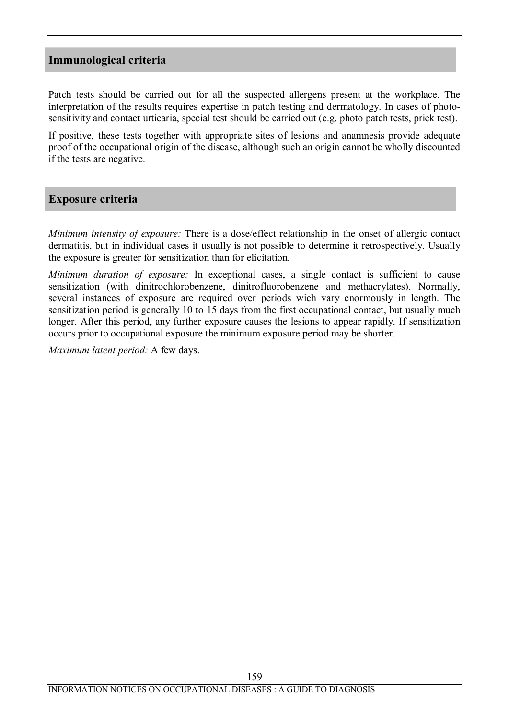### **Immunological criteria**

Patch tests should be carried out for all the suspected allergens present at the workplace. The interpretation of the results requires expertise in patch testing and dermatology. In cases of photosensitivity and contact urticaria, special test should be carried out (e.g. photo patch tests, prick test).

If positive, these tests together with appropriate sites of lesions and anamnesis provide adequate proof of the occupational origin of the disease, although such an origin cannot be wholly discounted if the tests are negative.

### **Exposure criteria**

*Minimum intensity of exposure:* There is a dose/effect relationship in the onset of allergic contact dermatitis, but in individual cases it usually is not possible to determine it retrospectively. Usually the exposure is greater for sensitization than for elicitation.

*Minimum duration of exposure:* In exceptional cases, a single contact is sufficient to cause sensitization (with dinitrochlorobenzene, dinitrofluorobenzene and methacrylates). Normally, several instances of exposure are required over periods wich vary enormously in length. The sensitization period is generally 10 to 15 days from the first occupational contact, but usually much longer. After this period, any further exposure causes the lesions to appear rapidly. If sensitization occurs prior to occupational exposure the minimum exposure period may be shorter.

*Maximum latent period:* A few days.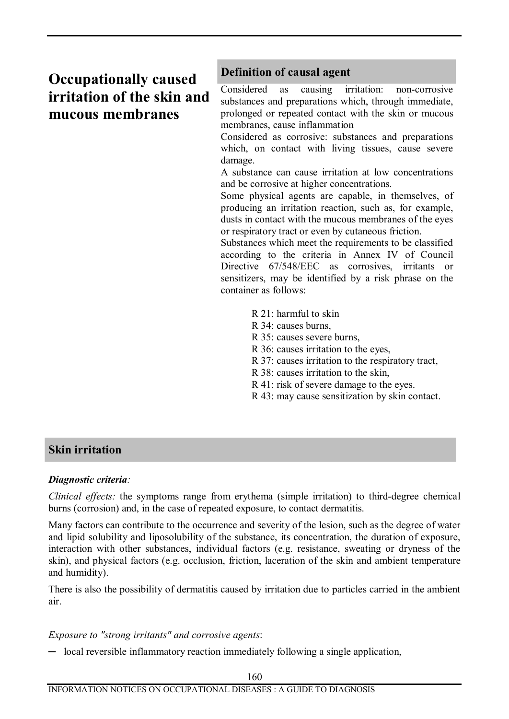# **Occupationally caused irritation of the skin and mucous membranes**

## **Definition of causal agent**

Considered as causing irritation: non-corrosive substances and preparations which, through immediate, prolonged or repeated contact with the skin or mucous membranes, cause inflammation

Considered as corrosive: substances and preparations which, on contact with living tissues, cause severe damage.

A substance can cause irritation at low concentrations and be corrosive at higher concentrations.

Some physical agents are capable, in themselves, of producing an irritation reaction, such as, for example, dusts in contact with the mucous membranes of the eyes or respiratory tract or even by cutaneous friction.

Substances which meet the requirements to be classified according to the criteria in Annex IV of Council Directive 67/548/EEC as corrosives, irritants or sensitizers, may be identified by a risk phrase on the container as follows:

- $R$  21: harmful to skin
- R 34: causes burns,
- R 35: causes severe burns,
- R 36: causes irritation to the eyes,
- R 37: causes irritation to the respiratory tract,
- R 38: causes irritation to the skin,
- R 41: risk of severe damage to the eyes.
- R 43: may cause sensitization by skin contact.

### **Skin irritation**

#### *Diagnostic criteria:*

*Clinical effects:* the symptoms range from erythema (simple irritation) to third-degree chemical burns (corrosion) and, in the case of repeated exposure, to contact dermatitis.

Many factors can contribute to the occurrence and severity of the lesion, such as the degree of water and lipid solubility and liposolubility of the substance, its concentration, the duration of exposure, interaction with other substances, individual factors (e.g. resistance, sweating or dryness of the skin), and physical factors (e.g. occlusion, friction, laceration of the skin and ambient temperature and humidity).

There is also the possibility of dermatitis caused by irritation due to particles carried in the ambient air.

#### *Exposure to "strong irritants" and corrosive agents*:

─ local reversible inflammatory reaction immediately following a single application,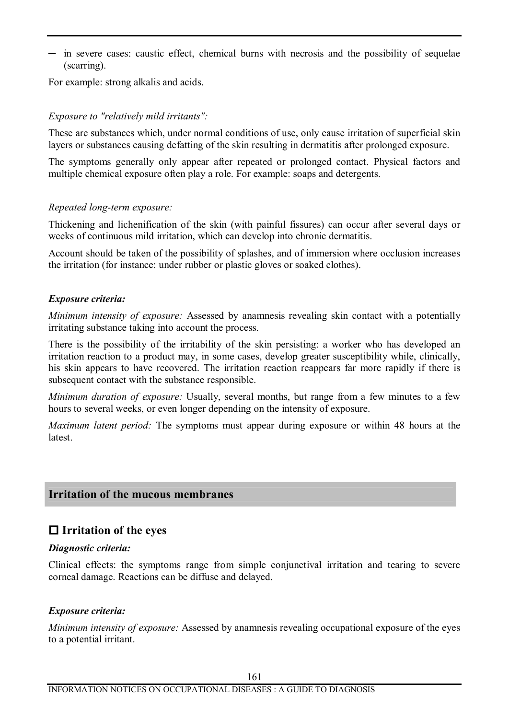─ in severe cases: caustic effect, chemical burns with necrosis and the possibility of sequelae (scarring).

For example: strong alkalis and acids.

#### *Exposure to "relatively mild irritants":*

These are substances which, under normal conditions of use, only cause irritation of superficial skin layers or substances causing defatting of the skin resulting in dermatitis after prolonged exposure.

The symptoms generally only appear after repeated or prolonged contact. Physical factors and multiple chemical exposure often play a role. For example: soaps and detergents.

#### *Repeated long-term exposure:*

Thickening and lichenification of the skin (with painful fissures) can occur after several days or weeks of continuous mild irritation, which can develop into chronic dermatitis.

Account should be taken of the possibility of splashes, and of immersion where occlusion increases the irritation (for instance: under rubber or plastic gloves or soaked clothes).

#### *Exposure criteria:*

*Minimum intensity of exposure:* Assessed by anamnesis revealing skin contact with a potentially irritating substance taking into account the process.

There is the possibility of the irritability of the skin persisting: a worker who has developed an irritation reaction to a product may, in some cases, develop greater susceptibility while, clinically, his skin appears to have recovered. The irritation reaction reappears far more rapidly if there is subsequent contact with the substance responsible.

*Minimum duration of exposure:* Usually, several months, but range from a few minutes to a few hours to several weeks, or even longer depending on the intensity of exposure.

*Maximum latent period:* The symptoms must appear during exposure or within 48 hours at the latest.

### **Irritation of the mucous membranes**

# **o Irritation of the eyes**

#### *Diagnostic criteria:*

Clinical effects: the symptoms range from simple conjunctival irritation and tearing to severe corneal damage. Reactions can be diffuse and delayed.

#### *Exposure criteria:*

*Minimum intensity of exposure:* Assessed by anamnesis revealing occupational exposure of the eyes to a potential irritant.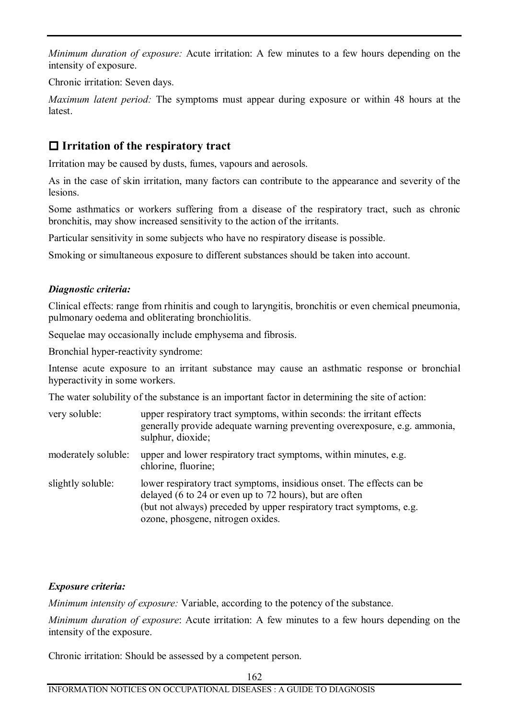*Minimum duration of exposure:* Acute irritation: A few minutes to a few hours depending on the intensity of exposure.

Chronic irritation: Seven days.

*Maximum latent period:* The symptoms must appear during exposure or within 48 hours at the **latest** 

# **o Irritation of the respiratory tract**

Irritation may be caused by dusts, fumes, vapours and aerosols.

As in the case of skin irritation, many factors can contribute to the appearance and severity of the lesions.

Some asthmatics or workers suffering from a disease of the respiratory tract, such as chronic bronchitis, may show increased sensitivity to the action of the irritants.

Particular sensitivity in some subjects who have no respiratory disease is possible.

Smoking or simultaneous exposure to different substances should be taken into account.

### *Diagnostic criteria:*

Clinical effects: range from rhinitis and cough to laryngitis, bronchitis or even chemical pneumonia, pulmonary oedema and obliterating bronchiolitis.

Sequelae may occasionally include emphysema and fibrosis.

Bronchial hyper-reactivity syndrome:

Intense acute exposure to an irritant substance may cause an asthmatic response or bronchial hyperactivity in some workers.

The water solubility of the substance is an important factor in determining the site of action:

| very soluble:       | upper respiratory tract symptoms, within seconds: the irritant effects<br>generally provide adequate warning preventing overexposure, e.g. ammonia,<br>sulphur, dioxide;                                                                     |
|---------------------|----------------------------------------------------------------------------------------------------------------------------------------------------------------------------------------------------------------------------------------------|
| moderately soluble: | upper and lower respiratory tract symptoms, within minutes, e.g.<br>chlorine, fluorine;                                                                                                                                                      |
| slightly soluble:   | lower respiratory tract symptoms, insidious onset. The effects can be<br>delayed (6 to 24 or even up to 72 hours), but are often<br>(but not always) preceded by upper respiratory tract symptoms, e.g.<br>ozone, phosgene, nitrogen oxides. |

### *Exposure criteria:*

*Minimum intensity of exposure:* Variable, according to the potency of the substance.

*Minimum duration of exposure*: Acute irritation: A few minutes to a few hours depending on the intensity of the exposure.

Chronic irritation: Should be assessed by a competent person.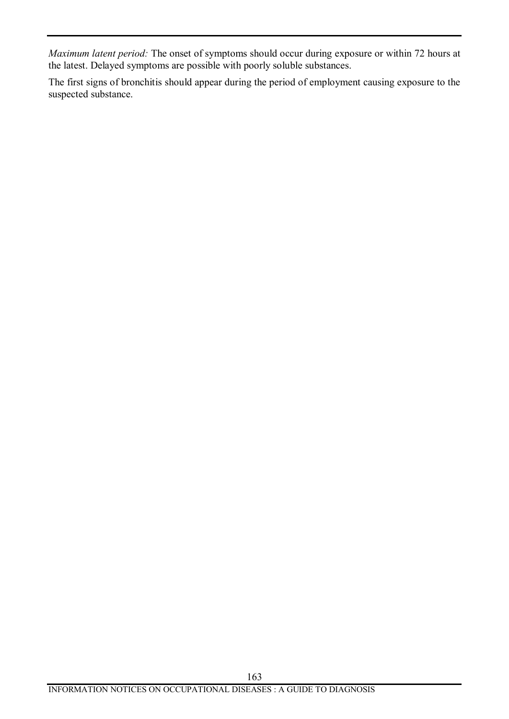*Maximum latent period:* The onset of symptoms should occur during exposure or within 72 hours at the latest. Delayed symptoms are possible with poorly soluble substances.

The first signs of bronchitis should appear during the period of employment causing exposure to the suspected substance.

163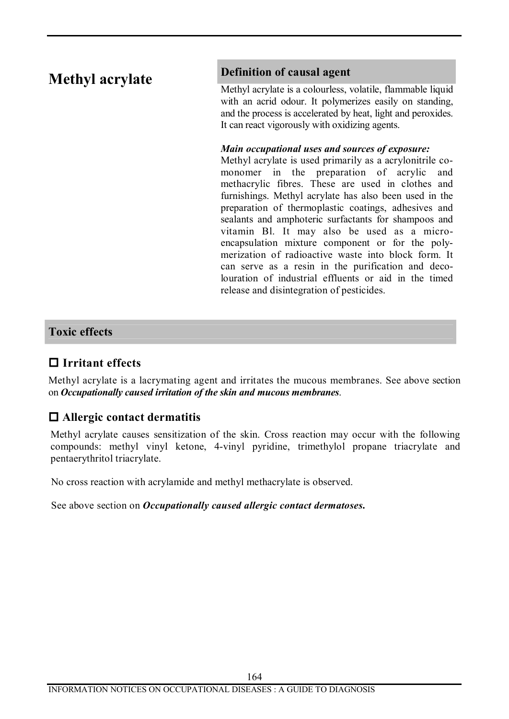# **Methyl acrylate**

## **Definition of causal agent**

Methyl acrylate is a colourless, volatile, flammable liquid with an acrid odour. It polymerizes easily on standing, and the process is accelerated by heat, light and peroxides. It can react vigorously with oxidizing agents.

### *Main occupational uses and sources of exposure:*

Methyl acrylate is used primarily as a acrylonitrile comonomer in the preparation of acrylic and methacrylic fibres. These are used in clothes and furnishings. Methyl acrylate has also been used in the preparation of thermoplastic coatings, adhesives and sealants and amphoteric surfactants for shampoos and vitamin Bl. It may also be used as a microencapsulation mixture component or for the polymerization of radioactive waste into block form. It can serve as a resin in the purification and decolouration of industrial effluents or aid in the timed release and disintegration of pesticides.

## **Toxic effects**

# **o Irritant effects**

Methyl acrylate is a lacrymating agent and irritates the mucous membranes. See above section on *Occupationally caused irritation of the skin and mucous membranes*.

# **o Allergic contact dermatitis**

Methyl acrylate causes sensitization of the skin. Cross reaction may occur with the following compounds: methyl vinyl ketone, 4-vinyl pyridine, trimethylol propane triacrylate and pentaerythritol triacrylate.

No cross reaction with acrylamide and methyl methacrylate is observed.

See above section on *Occupationally caused allergic contact dermatoses***.**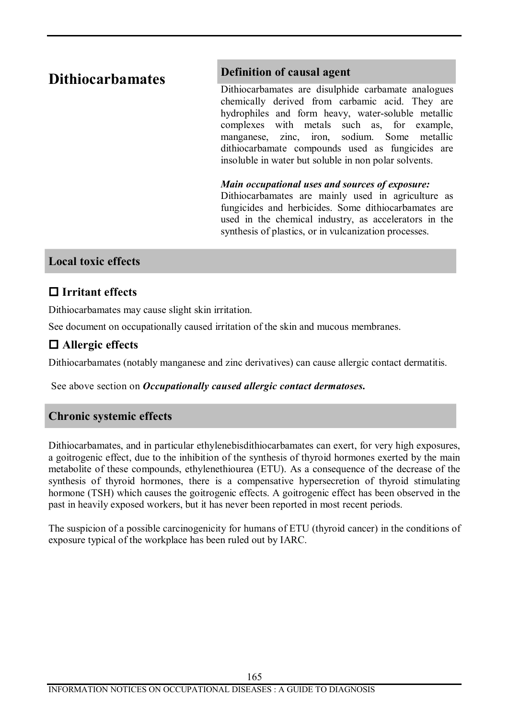# **Dithiocarbamates**

## **Definition of causal agent**

Dithiocarbamates are disulphide carbamate analogues chemically derived from carbamic acid. They are hydrophiles and form heavy, water-soluble metallic complexes with metals such as, for example, manganese, zinc, iron, sodium. Some metallic dithiocarbamate compounds used as fungicides are insoluble in water but soluble in non polar solvents.

#### *Main occupational uses and sources of exposure:*

Dithiocarbamates are mainly used in agriculture as fungicides and herbicides. Some dithiocarbamates are used in the chemical industry, as accelerators in the synthesis of plastics, or in vulcanization processes.

## **Local toxic effects**

# **o Irritant effects**

Dithiocarbamates may cause slight skin irritation.

See document on occupationally caused irritation of the skin and mucous membranes.

# **o Allergic effects**

Dithiocarbamates (notably manganese and zinc derivatives) can cause allergic contact dermatitis.

See above section on *Occupationally caused allergic contact dermatoses***.**

# **Chronic systemic effects**

Dithiocarbamates, and in particular ethylenebisdithiocarbamates can exert, for very high exposures, a goitrogenic effect, due to the inhibition of the synthesis of thyroid hormones exerted by the main metabolite of these compounds, ethylenethiourea (ETU). As a consequence of the decrease of the synthesis of thyroid hormones, there is a compensative hypersecretion of thyroid stimulating hormone (TSH) which causes the goitrogenic effects. A goitrogenic effect has been observed in the past in heavily exposed workers, but it has never been reported in most recent periods.

The suspicion of a possible carcinogenicity for humans of ETU (thyroid cancer) in the conditions of exposure typical of the workplace has been ruled out by IARC.